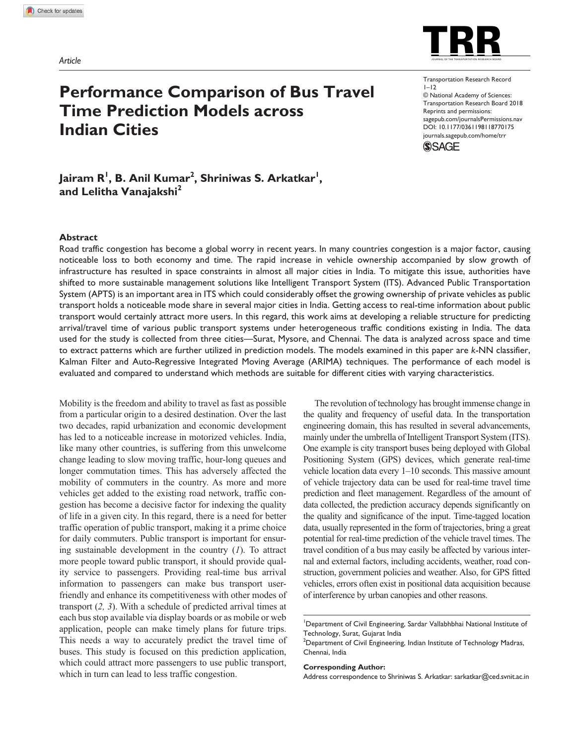

# **Performance Comparison of Bus Travel Time Prediction Models across Indian Cities**

https://doi.org/10.1177/0361198118770175 DOI: 10.1177/0361198118770175 Transportation Research Record  $1 - 12$ © National Academy of Sciences: Transportation Research Board 2018 Reprints and permissions: sagepub.com/journalsPermissions.nav journals.sagepub.com/home/trr



**Jairam R<sup>1</sup> , B. Anil Kumar<sup>2</sup> , Shriniwas S. Arkatkar<sup>1</sup> , and Lelitha Vanajakshi<sup>2</sup>**

#### **Abstract**

Road traffic congestion has become a global worry in recent years. In many countries congestion is a major factor, causing noticeable loss to both economy and time. The rapid increase in vehicle ownership accompanied by slow growth of infrastructure has resulted in space constraints in almost all major cities in India. To mitigate this issue, authorities have shifted to more sustainable management solutions like Intelligent Transport System (ITS). Advanced Public Transportation System (APTS) is an important area in ITS which could considerably offset the growing ownership of private vehicles as public transport holds a noticeable mode share in several major cities in India. Getting access to real-time information about public transport would certainly attract more users. In this regard, this work aims at developing a reliable structure for predicting arrival/travel time of various public transport systems under heterogeneous traffic conditions existing in India. The data used for the study is collected from three cities—Surat, Mysore, and Chennai. The data is analyzed across space and time to extract patterns which are further utilized in prediction models. The models examined in this paper are *k*-NN classifier, Kalman Filter and Auto-Regressive Integrated Moving Average (ARIMA) techniques. The performance of each model is evaluated and compared to understand which methods are suitable for different cities with varying characteristics.

Mobility is the freedom and ability to travel as fast as possible from a particular origin to a desired destination. Over the last two decades, rapid urbanization and economic development has led to a noticeable increase in motorized vehicles. India, like many other countries, is suffering from this unwelcome change leading to slow moving traffic, hour-long queues and longer commutation times. This has adversely affected the mobility of commuters in the country. As more and more vehicles get added to the existing road network, traffic congestion has become a decisive factor for indexing the quality of life in a given city. In this regard, there is a need for better traffic operation of public transport, making it a prime choice for daily commuters. Public transport is important for ensuring sustainable development in the country (*1*). To attract more people toward public transport, it should provide quality service to passengers. Providing real-time bus arrival information to passengers can make bus transport userfriendly and enhance its competitiveness with other modes of transport (*2, 3*). With a schedule of predicted arrival times at each bus stop available via display boards or as mobile or web application, people can make timely plans for future trips. This needs a way to accurately predict the travel time of buses. This study is focused on this prediction application, which could attract more passengers to use public transport, which in turn can lead to less traffic congestion.

The revolution of technology has brought immense change in the quality and frequency of useful data. In the transportation engineering domain, this has resulted in several advancements, mainly under the umbrella of Intelligent Transport System (ITS). One example is city transport buses being deployed with Global Positioning System (GPS) devices, which generate real-time vehicle location data every 1–10 seconds. This massive amount of vehicle trajectory data can be used for real-time travel time prediction and fleet management. Regardless of the amount of data collected, the prediction accuracy depends significantly on the quality and significance of the input. Time-tagged location data, usually represented in the form of trajectories, bring a great potential for real-time prediction of the vehicle travel times. The travel condition of a bus may easily be affected by various internal and external factors, including accidents, weather, road construction, government policies and weather. Also, for GPS fitted vehicles, errors often exist in positional data acquisition because of interference by urban canopies and other reasons.

#### **Corresponding Author:**

Address correspondence to Shriniwas S. Arkatkar: sarkatkar@ced.svnit.ac.in

<sup>&</sup>lt;sup>1</sup>Department of Civil Engineering, Sardar Vallabhbhai National Institute of Technology, Surat, Gujarat India

 $2$ Department of Civil Engineering, Indian Institute of Technology Madras, Chennai, India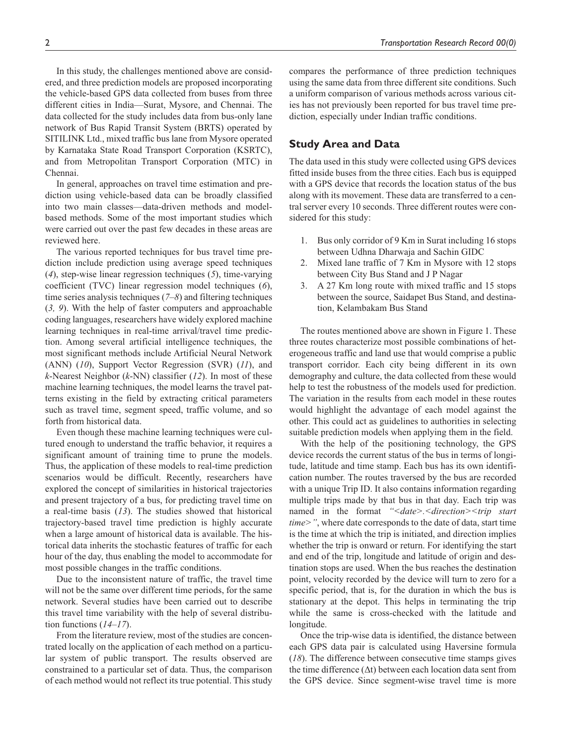In this study, the challenges mentioned above are considered, and three prediction models are proposed incorporating the vehicle-based GPS data collected from buses from three different cities in India—Surat, Mysore, and Chennai. The data collected for the study includes data from bus-only lane network of Bus Rapid Transit System (BRTS) operated by SITILINK Ltd., mixed traffic bus lane from Mysore operated by Karnataka State Road Transport Corporation (KSRTC), and from Metropolitan Transport Corporation (MTC) in Chennai.

In general, approaches on travel time estimation and prediction using vehicle-based data can be broadly classified into two main classes—data-driven methods and modelbased methods. Some of the most important studies which were carried out over the past few decades in these areas are reviewed here.

The various reported techniques for bus travel time prediction include prediction using average speed techniques (*4*), step-wise linear regression techniques (*5*), time-varying coefficient (TVC) linear regression model techniques (*6*), time series analysis techniques (*7–8*) and filtering techniques (*3, 9*). With the help of faster computers and approachable coding languages, researchers have widely explored machine learning techniques in real-time arrival/travel time prediction. Among several artificial intelligence techniques, the most significant methods include Artificial Neural Network (ANN) (*10*), Support Vector Regression (SVR) (*11*), and *k*-Nearest Neighbor (*k*-NN) classifier (*12*). In most of these machine learning techniques, the model learns the travel patterns existing in the field by extracting critical parameters such as travel time, segment speed, traffic volume, and so forth from historical data.

Even though these machine learning techniques were cultured enough to understand the traffic behavior, it requires a significant amount of training time to prune the models. Thus, the application of these models to real-time prediction scenarios would be difficult. Recently, researchers have explored the concept of similarities in historical trajectories and present trajectory of a bus, for predicting travel time on a real-time basis (*13*). The studies showed that historical trajectory-based travel time prediction is highly accurate when a large amount of historical data is available. The historical data inherits the stochastic features of traffic for each hour of the day, thus enabling the model to accommodate for most possible changes in the traffic conditions.

Due to the inconsistent nature of traffic, the travel time will not be the same over different time periods, for the same network. Several studies have been carried out to describe this travel time variability with the help of several distribution functions (*14–17*).

From the literature review, most of the studies are concentrated locally on the application of each method on a particular system of public transport. The results observed are constrained to a particular set of data. Thus, the comparison of each method would not reflect its true potential. This study

compares the performance of three prediction techniques using the same data from three different site conditions. Such a uniform comparison of various methods across various cities has not previously been reported for bus travel time prediction, especially under Indian traffic conditions.

# **Study Area and Data**

The data used in this study were collected using GPS devices fitted inside buses from the three cities. Each bus is equipped with a GPS device that records the location status of the bus along with its movement. These data are transferred to a central server every 10 seconds. Three different routes were considered for this study:

- 1. Bus only corridor of 9 Km in Surat including 16 stops between Udhna Dharwaja and Sachin GIDC
- 2. Mixed lane traffic of 7 Km in Mysore with 12 stops between City Bus Stand and J P Nagar
- 3. A 27 Km long route with mixed traffic and 15 stops between the source, Saidapet Bus Stand, and destination, Kelambakam Bus Stand

The routes mentioned above are shown in Figure 1. These three routes characterize most possible combinations of heterogeneous traffic and land use that would comprise a public transport corridor. Each city being different in its own demography and culture, the data collected from these would help to test the robustness of the models used for prediction. The variation in the results from each model in these routes would highlight the advantage of each model against the other. This could act as guidelines to authorities in selecting suitable prediction models when applying them in the field.

With the help of the positioning technology, the GPS device records the current status of the bus in terms of longitude, latitude and time stamp. Each bus has its own identification number. The routes traversed by the bus are recorded with a unique Trip ID. It also contains information regarding multiple trips made by that bus in that day. Each trip was named in the format *"<date>.<direction><trip start time>"*, where date corresponds to the date of data, start time is the time at which the trip is initiated, and direction implies whether the trip is onward or return. For identifying the start and end of the trip, longitude and latitude of origin and destination stops are used. When the bus reaches the destination point, velocity recorded by the device will turn to zero for a specific period, that is, for the duration in which the bus is stationary at the depot. This helps in terminating the trip while the same is cross-checked with the latitude and longitude.

Once the trip-wise data is identified, the distance between each GPS data pair is calculated using Haversine formula (*18*). The difference between consecutive time stamps gives the time difference (∆t) between each location data sent from the GPS device. Since segment-wise travel time is more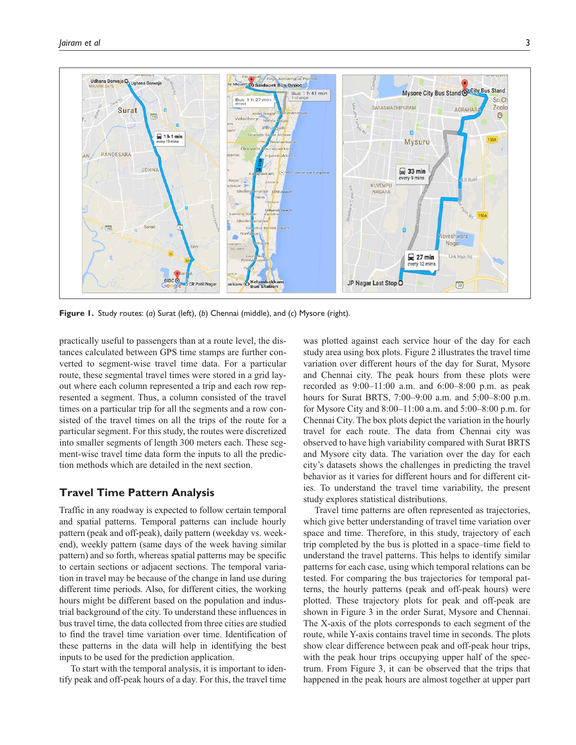

**Figure 1.** Study routes: (*a*) Surat (left), (*b*) Chennai (middle), and (*c*) Mysore (right).

practically useful to passengers than at a route level, the distances calculated between GPS time stamps are further converted to segment-wise travel time data. For a particular route, these segmental travel times were stored in a grid layout where each column represented a trip and each row represented a segment. Thus, a column consisted of the travel times on a particular trip for all the segments and a row consisted of the travel times on all the trips of the route for a particular segment. For this study, the routes were discretized into smaller segments of length 300 meters each. These segment-wise travel time data form the inputs to all the prediction methods which are detailed in the next section.

# **Travel Time Pattern Analysis**

Traffic in any roadway is expected to follow certain temporal and spatial patterns. Temporal patterns can include hourly pattern (peak and off-peak), daily pattern (weekday vs. weekend), weekly pattern (same days of the week having similar pattern) and so forth, whereas spatial patterns may be specific to certain sections or adjacent sections. The temporal variation in travel may be because of the change in land use during different time periods. Also, for different cities, the working hours might be different based on the population and industrial background of the city. To understand these influences in bus travel time, the data collected from three cities are studied to find the travel time variation over time. Identification of these patterns in the data will help in identifying the best inputs to be used for the prediction application.

To start with the temporal analysis, it is important to identify peak and off-peak hours of a day. For this, the travel time was plotted against each service hour of the day for each study area using box plots. Figure 2 illustrates the travel time variation over different hours of the day for Surat, Mysore and Chennai city. The peak hours from these plots were recorded as 9:00–11:00 a.m. and 6:00–8:00 p.m. as peak hours for Surat BRTS, 7:00–9:00 a.m. and 5:00–8:00 p.m. for Mysore City and 8:00–11:00 a.m. and 5:00–8:00 p.m. for Chennai City. The box plots depict the variation in the hourly travel for each route. The data from Chennai city was observed to have high variability compared with Surat BRTS and Mysore city data. The variation over the day for each city's datasets shows the challenges in predicting the travel behavior as it varies for different hours and for different cities. To understand the travel time variability, the present study explores statistical distributions.

Travel time patterns are often represented as trajectories, which give better understanding of travel time variation over space and time. Therefore, in this study, trajectory of each trip completed by the bus is plotted in a space–time field to understand the travel patterns. This helps to identify similar patterns for each case, using which temporal relations can be tested. For comparing the bus trajectories for temporal patterns, the hourly patterns (peak and off-peak hours) were plotted. These trajectory plots for peak and off-peak are shown in Figure 3 in the order Surat, Mysore and Chennai. The X-axis of the plots corresponds to each segment of the route, while Y-axis contains travel time in seconds. The plots show clear difference between peak and off-peak hour trips, with the peak hour trips occupying upper half of the spectrum. From Figure 3, it can be observed that the trips that happened in the peak hours are almost together at upper part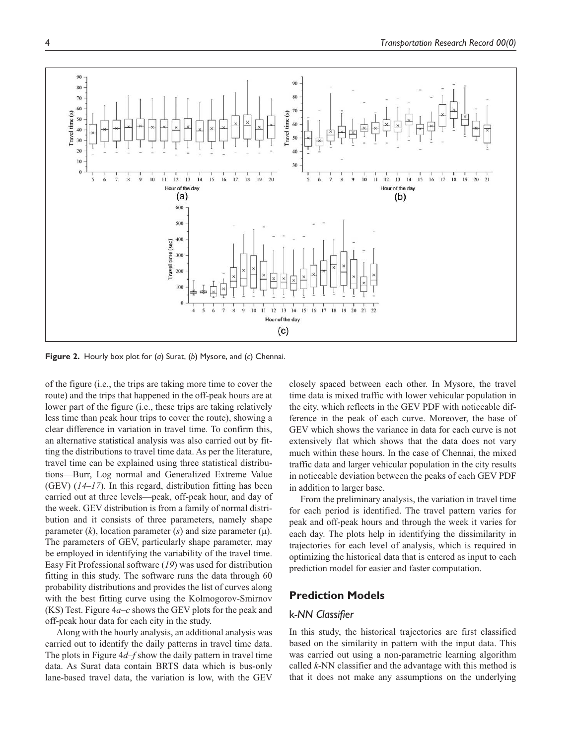

**Figure 2.** Hourly box plot for (*a*) Surat, (*b*) Mysore, and (*c*) Chennai.

of the figure (i.e., the trips are taking more time to cover the route) and the trips that happened in the off-peak hours are at lower part of the figure (i.e., these trips are taking relatively less time than peak hour trips to cover the route), showing a clear difference in variation in travel time. To confirm this, an alternative statistical analysis was also carried out by fitting the distributions to travel time data. As per the literature, travel time can be explained using three statistical distributions—Burr, Log normal and Generalized Extreme Value (GEV) (*14–17*). In this regard, distribution fitting has been carried out at three levels—peak, off-peak hour, and day of the week. GEV distribution is from a family of normal distribution and it consists of three parameters, namely shape parameter  $(k)$ , location parameter  $(s)$  and size parameter  $(\mu)$ . The parameters of GEV, particularly shape parameter, may be employed in identifying the variability of the travel time. Easy Fit Professional software (*19*) was used for distribution fitting in this study. The software runs the data through 60 probability distributions and provides the list of curves along with the best fitting curve using the Kolmogorov-Smirnov (KS) Test. Figure 4*a–c* shows the GEV plots for the peak and off-peak hour data for each city in the study.

Along with the hourly analysis, an additional analysis was carried out to identify the daily patterns in travel time data. The plots in Figure 4*d–f* show the daily pattern in travel time data. As Surat data contain BRTS data which is bus-only lane-based travel data, the variation is low, with the GEV

closely spaced between each other. In Mysore, the travel time data is mixed traffic with lower vehicular population in the city, which reflects in the GEV PDF with noticeable difference in the peak of each curve. Moreover, the base of GEV which shows the variance in data for each curve is not extensively flat which shows that the data does not vary much within these hours. In the case of Chennai, the mixed traffic data and larger vehicular population in the city results in noticeable deviation between the peaks of each GEV PDF in addition to larger base.

From the preliminary analysis, the variation in travel time for each period is identified. The travel pattern varies for peak and off-peak hours and through the week it varies for each day. The plots help in identifying the dissimilarity in trajectories for each level of analysis, which is required in optimizing the historical data that is entered as input to each prediction model for easier and faster computation.

#### **Prediction Models**

## k*-NN Classifier*

In this study, the historical trajectories are first classified based on the similarity in pattern with the input data. This was carried out using a non-parametric learning algorithm called *k*-NN classifier and the advantage with this method is that it does not make any assumptions on the underlying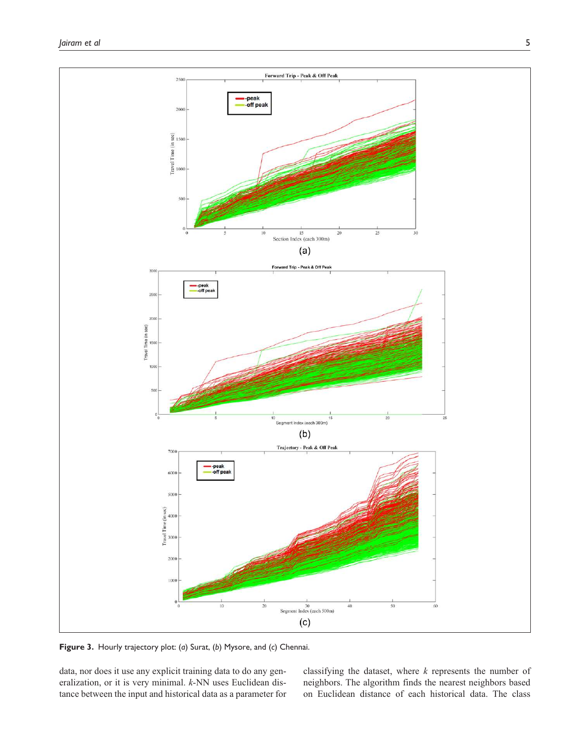

**Figure 3.** Hourly trajectory plot: (*a*) Surat, (*b*) Mysore, and (*c*) Chennai.

data, nor does it use any explicit training data to do any generalization, or it is very minimal. *k*-NN uses Euclidean distance between the input and historical data as a parameter for classifying the dataset, where *k* represents the number of neighbors. The algorithm finds the nearest neighbors based on Euclidean distance of each historical data. The class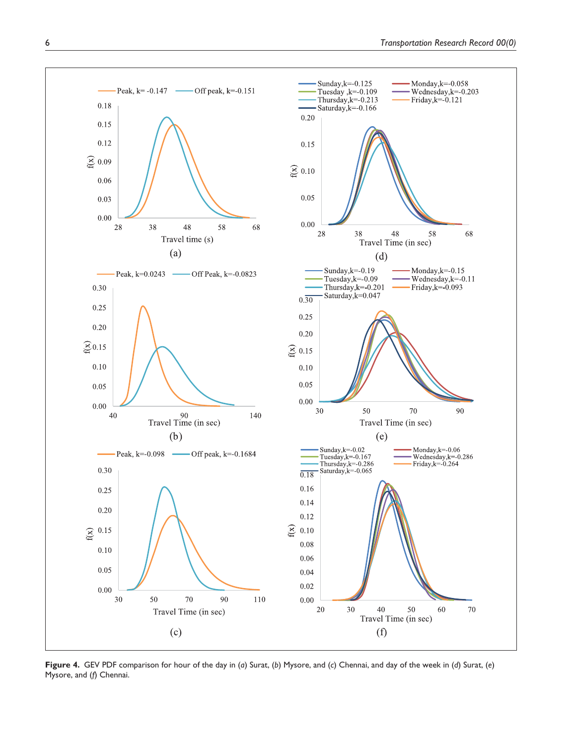

**Figure 4.** GEV PDF comparison for hour of the day in (*a*) Surat, (*b*) Mysore, and (*c*) Chennai, and day of the week in (*d*) Surat, (*e*) Mysore, and (*f*) Chennai.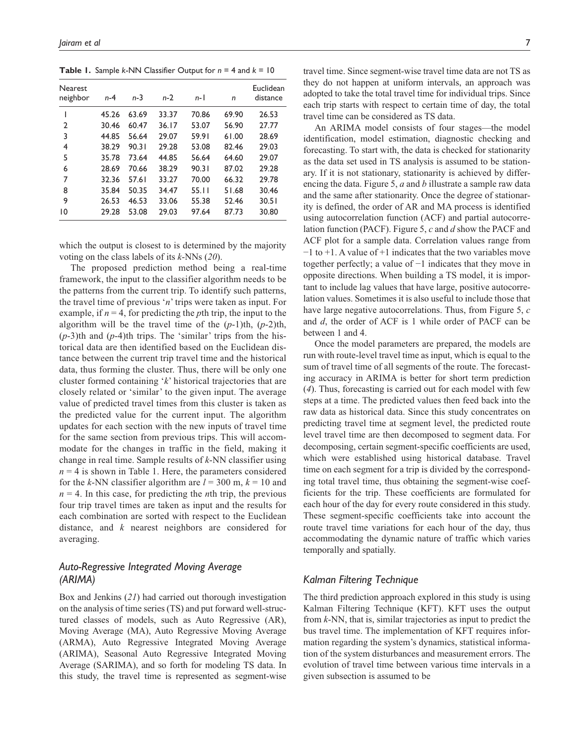**Table 1.** Sample *k*-NN Classifier Output for *n* = 4 and *k* = 10

| <b>Nearest</b><br>neighbor | $n-4$ | n-3   | $n-2$ | $n-1$ | n     | Euclidean<br>distance |
|----------------------------|-------|-------|-------|-------|-------|-----------------------|
|                            | 45.26 | 63.69 | 33.37 | 70.86 | 69.90 | 26.53                 |
| $\overline{2}$             | 30.46 | 60.47 | 36.17 | 53.07 | 56.90 | 27.77                 |
| 3                          | 44.85 | 56.64 | 29.07 | 59.91 | 61.00 | 28.69                 |
| 4                          | 38.29 | 90.31 | 29.28 | 53.08 | 82.46 | 29.03                 |
| 5                          | 35.78 | 73.64 | 44.85 | 56.64 | 64.60 | 29.07                 |
| 6                          | 28.69 | 70.66 | 38.29 | 90.31 | 87.02 | 29.28                 |
| 7                          | 32.36 | 57.61 | 33.27 | 70.00 | 66.32 | 29.78                 |
| 8                          | 35.84 | 50.35 | 34.47 | 55.11 | 51.68 | 30.46                 |
| 9                          | 26.53 | 46.53 | 33.06 | 55.38 | 52.46 | 30.51                 |
| 10                         | 29.28 | 53.08 | 29.03 | 97.64 | 87.73 | 30.80                 |
|                            |       |       |       |       |       |                       |

which the output is closest to is determined by the majority voting on the class labels of its *k*-NNs (*20*).

The proposed prediction method being a real-time framework, the input to the classifier algorithm needs to be the patterns from the current trip. To identify such patterns, the travel time of previous '*n*' trips were taken as input. For example, if  $n = 4$ , for predicting the *p*th trip, the input to the algorithm will be the travel time of the (*p*-1)th, (*p*-2)th,  $(p-3)$ th and  $(p-4)$ th trips. The 'similar' trips from the historical data are then identified based on the Euclidean distance between the current trip travel time and the historical data, thus forming the cluster. Thus, there will be only one cluster formed containing '*k*' historical trajectories that are closely related or 'similar' to the given input. The average value of predicted travel times from this cluster is taken as the predicted value for the current input. The algorithm updates for each section with the new inputs of travel time for the same section from previous trips. This will accommodate for the changes in traffic in the field, making it change in real time. Sample results of *k*-NN classifier using  $n = 4$  is shown in Table 1. Here, the parameters considered for the *k*-NN classifier algorithm are  $l = 300$  m,  $k = 10$  and  $n = 4$ . In this case, for predicting the *n*th trip, the previous four trip travel times are taken as input and the results for each combination are sorted with respect to the Euclidean distance, and *k* nearest neighbors are considered for averaging.

# *Auto-Regressive Integrated Moving Average (ARIMA)*

Box and Jenkins (*21*) had carried out thorough investigation on the analysis of time series (TS) and put forward well-structured classes of models, such as Auto Regressive (AR), Moving Average (MA), Auto Regressive Moving Average (ARMA), Auto Regressive Integrated Moving Average (ARIMA), Seasonal Auto Regressive Integrated Moving Average (SARIMA), and so forth for modeling TS data. In this study, the travel time is represented as segment-wise travel time. Since segment-wise travel time data are not TS as they do not happen at uniform intervals, an approach was adopted to take the total travel time for individual trips. Since each trip starts with respect to certain time of day, the total travel time can be considered as TS data.

An ARIMA model consists of four stages—the model identification, model estimation, diagnostic checking and forecasting. To start with, the data is checked for stationarity as the data set used in TS analysis is assumed to be stationary. If it is not stationary, stationarity is achieved by differencing the data. Figure 5, *a* and *b* illustrate a sample raw data and the same after stationarity. Once the degree of stationarity is defined, the order of AR and MA process is identified using autocorrelation function (ACF) and partial autocorrelation function (PACF). Figure 5, *c* and *d* show the PACF and ACF plot for a sample data. Correlation values range from −1 to +1. A value of +1 indicates that the two variables move together perfectly; a value of −1 indicates that they move in opposite directions. When building a TS model, it is important to include lag values that have large, positive autocorrelation values. Sometimes it is also useful to include those that have large negative autocorrelations. Thus, from Figure 5, *c* and *d*, the order of ACF is 1 while order of PACF can be between 1 and 4.

Once the model parameters are prepared, the models are run with route-level travel time as input, which is equal to the sum of travel time of all segments of the route. The forecasting accuracy in ARIMA is better for short term prediction (*4*). Thus, forecasting is carried out for each model with few steps at a time. The predicted values then feed back into the raw data as historical data. Since this study concentrates on predicting travel time at segment level, the predicted route level travel time are then decomposed to segment data. For decomposing, certain segment-specific coefficients are used, which were established using historical database. Travel time on each segment for a trip is divided by the corresponding total travel time, thus obtaining the segment-wise coefficients for the trip. These coefficients are formulated for each hour of the day for every route considered in this study. These segment-specific coefficients take into account the route travel time variations for each hour of the day, thus accommodating the dynamic nature of traffic which varies temporally and spatially.

# *Kalman Filtering Technique*

The third prediction approach explored in this study is using Kalman Filtering Technique (KFT). KFT uses the output from *k*-NN, that is, similar trajectories as input to predict the bus travel time. The implementation of KFT requires information regarding the system's dynamics, statistical information of the system disturbances and measurement errors. The evolution of travel time between various time intervals in a given subsection is assumed to be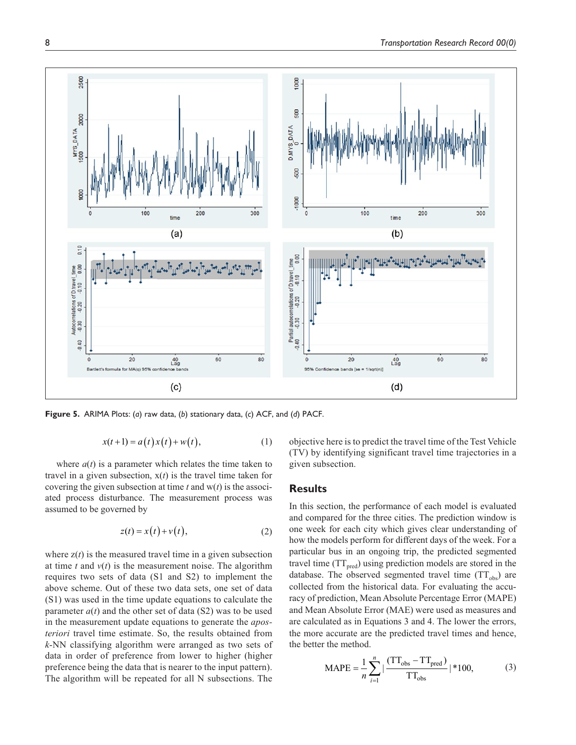

**Figure 5.** ARIMA Plots: (*a*) raw data, (*b*) stationary data, (*c*) ACF, and (*d*) PACF.

$$
x(t+1) = a(t)x(t) + w(t),
$$
 (1)

where  $a(t)$  is a parameter which relates the time taken to travel in a given subsection,  $x(t)$  is the travel time taken for covering the given subsection at time *t* and w(*t*) is the associated process disturbance. The measurement process was assumed to be governed by

$$
z(t) = x(t) + v(t),
$$
 (2)

where  $z(t)$  is the measured travel time in a given subsection at time *t* and *v*(*t*) is the measurement noise. The algorithm requires two sets of data (S1 and S2) to implement the above scheme. Out of these two data sets, one set of data (S1) was used in the time update equations to calculate the parameter  $a(t)$  and the other set of data (S2) was to be used in the measurement update equations to generate the *aposteriori* travel time estimate. So, the results obtained from *k*-NN classifying algorithm were arranged as two sets of data in order of preference from lower to higher (higher preference being the data that is nearer to the input pattern). The algorithm will be repeated for all N subsections. The

objective here is to predict the travel time of the Test Vehicle (TV) by identifying significant travel time trajectories in a given subsection.

#### **Results**

In this section, the performance of each model is evaluated and compared for the three cities. The prediction window is one week for each city which gives clear understanding of how the models perform for different days of the week. For a particular bus in an ongoing trip, the predicted segmented travel time  $(TT_{pred})$  using prediction models are stored in the database. The observed segmented travel time  $(TT_{obs})$  are collected from the historical data. For evaluating the accuracy of prediction, Mean Absolute Percentage Error (MAPE) and Mean Absolute Error (MAE) were used as measures and are calculated as in Equations 3 and 4. The lower the errors, the more accurate are the predicted travel times and hence, the better the method.

$$
MAPE = \frac{1}{n} \sum_{i=1}^{n} \left| \frac{(TT_{obs} - TT_{pred})}{TT_{obs}} \right| * 100,
$$
 (3)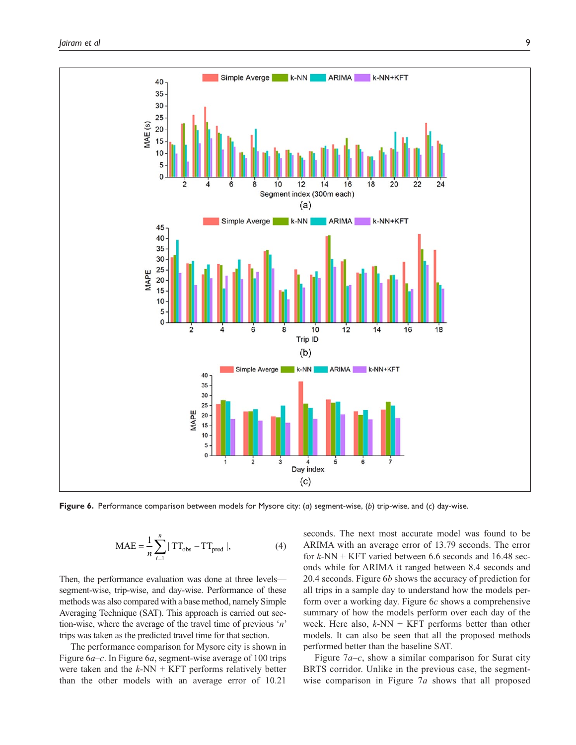

**Figure 6.** Performance comparison between models for Mysore city: (*a*) segment-wise, (*b*) trip-wise, and (*c*) day-wise.

$$
MAE = \frac{1}{n} \sum_{i=1}^{n} |TT_{obs} - TT_{pred}|,
$$
 (4)

Then, the performance evaluation was done at three levels segment-wise, trip-wise, and day-wise. Performance of these methods was also compared with a base method, namely Simple Averaging Technique (SAT). This approach is carried out section-wise, where the average of the travel time of previous '*n*' trips was taken as the predicted travel time for that section.

The performance comparison for Mysore city is shown in Figure 6*a–c*. In Figure 6*a*, segment-wise average of 100 trips were taken and the *k*-NN + KFT performs relatively better than the other models with an average error of 10.21

seconds. The next most accurate model was found to be ARIMA with an average error of 13.79 seconds. The error for *k*-NN + KFT varied between 6.6 seconds and 16.48 seconds while for ARIMA it ranged between 8.4 seconds and 20.4 seconds. Figure 6*b* shows the accuracy of prediction for all trips in a sample day to understand how the models perform over a working day. Figure 6*c* shows a comprehensive summary of how the models perform over each day of the week. Here also, *k*-NN + KFT performs better than other models. It can also be seen that all the proposed methods performed better than the baseline SAT.

Figure 7*a–c*, show a similar comparison for Surat city BRTS corridor. Unlike in the previous case, the segmentwise comparison in Figure 7*a* shows that all proposed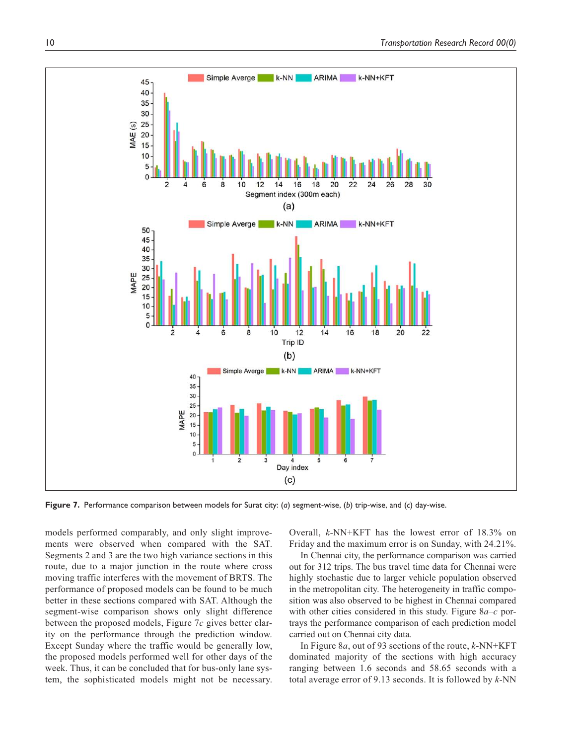

**Figure 7.** Performance comparison between models for Surat city: (*a*) segment-wise, (*b*) trip-wise, and (*c*) day-wise.

models performed comparably, and only slight improvements were observed when compared with the SAT. Segments 2 and 3 are the two high variance sections in this route, due to a major junction in the route where cross moving traffic interferes with the movement of BRTS. The performance of proposed models can be found to be much better in these sections compared with SAT. Although the segment-wise comparison shows only slight difference between the proposed models, Figure 7*c* gives better clarity on the performance through the prediction window. Except Sunday where the traffic would be generally low, the proposed models performed well for other days of the week. Thus, it can be concluded that for bus-only lane system, the sophisticated models might not be necessary.

Overall, *k*-NN+KFT has the lowest error of 18.3% on Friday and the maximum error is on Sunday, with 24.21%.

In Chennai city, the performance comparison was carried out for 312 trips. The bus travel time data for Chennai were highly stochastic due to larger vehicle population observed in the metropolitan city. The heterogeneity in traffic composition was also observed to be highest in Chennai compared with other cities considered in this study. Figure 8*a–c* portrays the performance comparison of each prediction model carried out on Chennai city data.

In Figure 8*a*, out of 93 sections of the route, *k*-NN+KFT dominated majority of the sections with high accuracy ranging between 1.6 seconds and 58.65 seconds with a total average error of 9.13 seconds. It is followed by *k*-NN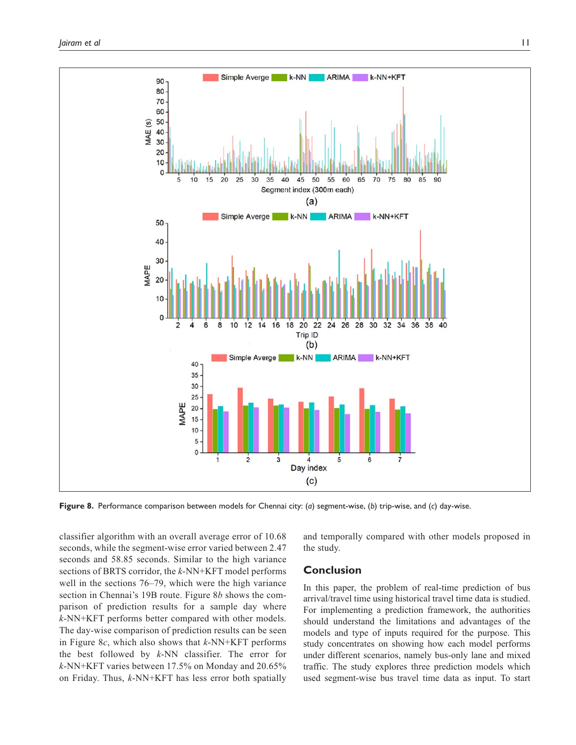

**Figure 8.** Performance comparison between models for Chennai city: (*a*) segment-wise, (*b*) trip-wise, and (*c*) day-wise.

classifier algorithm with an overall average error of 10.68 seconds, while the segment-wise error varied between 2.47 seconds and 58.85 seconds. Similar to the high variance sections of BRTS corridor, the *k*-NN+KFT model performs well in the sections 76–79, which were the high variance section in Chennai's 19B route. Figure 8*b* shows the comparison of prediction results for a sample day where *k*-NN+KFT performs better compared with other models. The day-wise comparison of prediction results can be seen in Figure 8*c*, which also shows that *k*-NN+KFT performs the best followed by *k*-NN classifier. The error for *k*-NN+KFT varies between 17.5% on Monday and 20.65% on Friday. Thus, *k*-NN+KFT has less error both spatially

and temporally compared with other models proposed in the study.

## **Conclusion**

In this paper, the problem of real-time prediction of bus arrival/travel time using historical travel time data is studied. For implementing a prediction framework, the authorities should understand the limitations and advantages of the models and type of inputs required for the purpose. This study concentrates on showing how each model performs under different scenarios, namely bus-only lane and mixed traffic. The study explores three prediction models which used segment-wise bus travel time data as input. To start